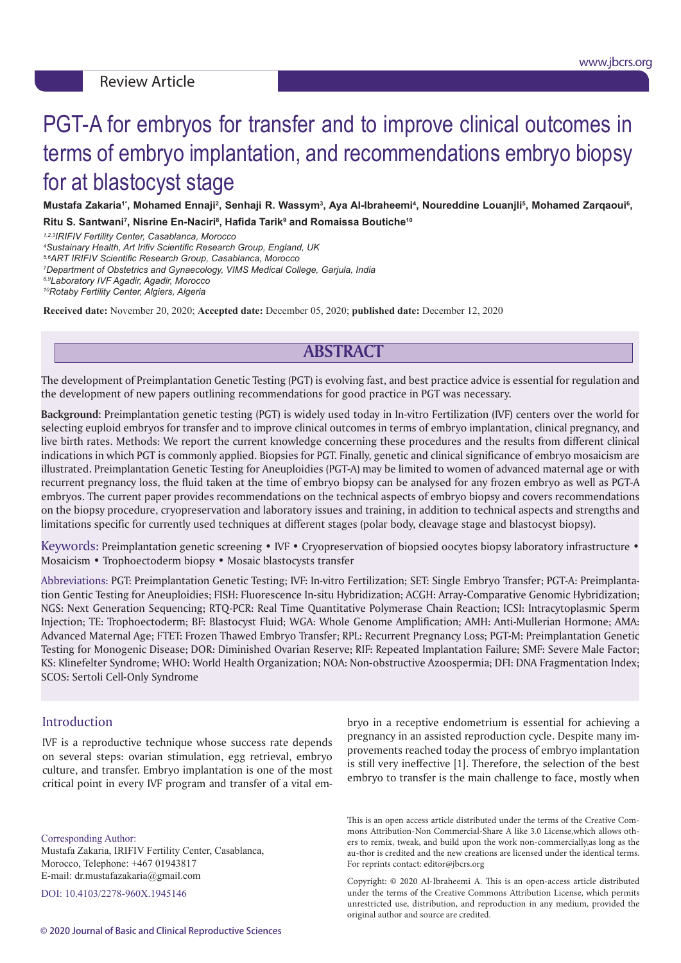# PGT-A for embryos for transfer and to improve clinical outcomes in terms of embryo implantation, and recommendations embryo biopsy for at blastocyst stage

Mustafa Zakaria'', Mohamed Ennaji<sup>2</sup>, Senhaji R. Wassym<sup>3</sup>, Aya Al-Ibraheemi<sup>4</sup>, Noureddine Louanjli<sup>5</sup>, Mohamed Zarqaoui<sup>6</sup>,  $R$ itu S. Santwani<sup>7</sup>, Nisrine En-Naciri<sup>8</sup>, Hafida Tarik<sup>9</sup> and Romaissa Boutiche<sup>10</sup>

*1,2,3IRIFIV Fertility Center, Casablanca, Morocco 4*

*Sustainary Health, Art Irifiv Scientific Research Group, England, UK*

*5,6ART IRIFIV Scientific Research Group, Casablanca, Morocco*

*7 Department of Obstetrics and Gynaecology, VIMS Medical College, Garjula, India* 

*8,9Laboratory IVF Agadir, Agadir, Morocco <sup>10</sup>Rotaby Fertility Center, Algiers, Algeria*

**Received date:** November 20, 2020; **Accepted date:** December 05, 2020; **published date:** December 12, 2020

# **ABSTRACT**

The development of Preimplantation Genetic Testing (PGT) is evolving fast, and best practice advice is essential for regulation and the development of new papers outlining recommendations for good practice in PGT was necessary.

**Background:** Preimplantation genetic testing (PGT) is widely used today in In-vitro Fertilization (IVF) centers over the world for selecting euploid embryos for transfer and to improve clinical outcomes in terms of embryo implantation, clinical pregnancy, and live birth rates. Methods: We report the current knowledge concerning these procedures and the results from different clinical indications in which PGT is commonly applied. Biopsies for PGT. Finally, genetic and clinical significance of embryo mosaicism are illustrated. Preimplantation Genetic Testing for Aneuploidies (PGT-A) may be limited to women of advanced maternal age or with recurrent pregnancy loss, the fluid taken at the time of embryo biopsy can be analysed for any frozen embryo as well as PGT-A embryos. The current paper provides recommendations on the technical aspects of embryo biopsy and covers recommendations on the biopsy procedure, cryopreservation and laboratory issues and training, in addition to technical aspects and strengths and limitations specific for currently used techniques at different stages (polar body, cleavage stage and blastocyst biopsy).

Keywords: Preimplantation genetic screening • IVF • Cryopreservation of biopsied oocytes biopsy laboratory infrastructure • Mosaicism • Trophoectoderm biopsy • Mosaic blastocysts transfer

Abbreviations: PGT: Preimplantation Genetic Testing; IVF: In-vitro Fertilization; SET: Single Embryo Transfer; PGT-A: Preimplantation Gentic Testing for Aneuploidies; FISH: Fluorescence In-situ Hybridization; ACGH: Array-Comparative Genomic Hybridization; NGS: Next Generation Sequencing; RTQ-PCR: Real Time Quantitative Polymerase Chain Reaction; ICSI: Intracytoplasmic Sperm Injection; TE: Trophoectoderm; BF: Blastocyst Fluid; WGA: Whole Genome Amplification; AMH: Anti-Mullerian Hormone; AMA: Advanced Maternal Age; FTET: Frozen Thawed Embryo Transfer; RPL: Recurrent Pregnancy Loss; PGT-M: Preimplantation Genetic Testing for Monogenic Disease; DOR: Diminished Ovarian Reserve; RIF: Repeated Implantation Failure; SMF: Severe Male Factor; KS: Klinefelter Syndrome; WHO: World Health Organization; NOA: Non-obstructive Azoospermia; DFI: DNA Fragmentation Index; SCOS: Sertoli Cell-Only Syndrome

#### **Introduction**

IVF is a reproductive technique whose success rate depends on several steps: ovarian stimulation, egg retrieval, embryo culture, and transfer. Embryo implantation is one of the most critical point in every IVF program and transfer of a vital em-

Corresponding Author: Mustafa Zakaria, IRIFIV Fertility Center, Casablanca, Morocco, Telephone: +467 01943817 E-mail: dr.mustafazakaria@gmail.com

DOI: 10.4103/2278-960X.1945146

bryo in a receptive endometrium is essential for achieving a pregnancy in an assisted reproduction cycle. Despite many improvements reached today the process of embryo implantation is still very ineffective [1]. Therefore, the selection of the best embryo to transfer is the main challenge to face, mostly when

This is an open access article distributed under the terms of the Creative Commons Attribution-Non Commercial-Share A like 3.0 License,which allows others to remix, tweak, and build upon the work non-commercially,as long as the au-thor is credited and the new creations are licensed under the identical terms. For reprints contact: editor@jbcrs.org

Copyright: © 2020 Al-Ibraheemi A. This is an open-access article distributed under the terms of the Creative Commons Attribution License, which permits unrestricted use, distribution, and reproduction in any medium, provided the original author and source are credited.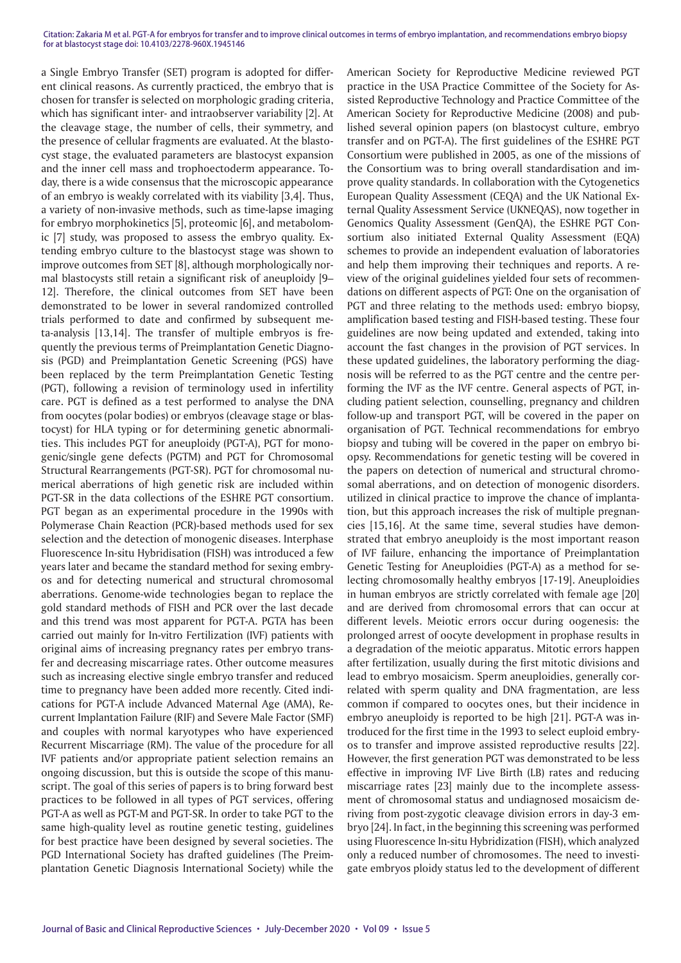a Single Embryo Transfer (SET) program is adopted for different clinical reasons. As currently practiced, the embryo that is chosen for transfer is selected on morphologic grading criteria, which has significant inter- and intraobserver variability [2]. At the cleavage stage, the number of cells, their symmetry, and the presence of cellular fragments are evaluated. At the blastocyst stage, the evaluated parameters are blastocyst expansion and the inner cell mass and trophoectoderm appearance. Today, there is a wide consensus that the microscopic appearance of an embryo is weakly correlated with its viability [3,4]. Thus, a variety of non-invasive methods, such as time-lapse imaging for embryo morphokinetics [5], proteomic [6], and metabolomic [7] study, was proposed to assess the embryo quality. Extending embryo culture to the blastocyst stage was shown to improve outcomes from SET [8], although morphologically normal blastocysts still retain a significant risk of aneuploidy [9– 12]. Therefore, the clinical outcomes from SET have been demonstrated to be lower in several randomized controlled trials performed to date and confirmed by subsequent meta-analysis [13,14]. The transfer of multiple embryos is frequently the previous terms of Preimplantation Genetic Diagnosis (PGD) and Preimplantation Genetic Screening (PGS) have been replaced by the term Preimplantation Genetic Testing (PGT), following a revision of terminology used in infertility care. PGT is defined as a test performed to analyse the DNA from oocytes (polar bodies) or embryos (cleavage stage or blastocyst) for HLA typing or for determining genetic abnormalities. This includes PGT for aneuploidy (PGT-A), PGT for monogenic/single gene defects (PGTM) and PGT for Chromosomal Structural Rearrangements (PGT-SR). PGT for chromosomal numerical aberrations of high genetic risk are included within PGT-SR in the data collections of the ESHRE PGT consortium. PGT began as an experimental procedure in the 1990s with Polymerase Chain Reaction (PCR)-based methods used for sex selection and the detection of monogenic diseases. Interphase Fluorescence In-situ Hybridisation (FISH) was introduced a few years later and became the standard method for sexing embryos and for detecting numerical and structural chromosomal aberrations. Genome-wide technologies began to replace the gold standard methods of FISH and PCR over the last decade and this trend was most apparent for PGT-A. PGTA has been carried out mainly for In-vitro Fertilization (IVF) patients with original aims of increasing pregnancy rates per embryo transfer and decreasing miscarriage rates. Other outcome measures such as increasing elective single embryo transfer and reduced time to pregnancy have been added more recently. Cited indications for PGT-A include Advanced Maternal Age (AMA), Recurrent Implantation Failure (RIF) and Severe Male Factor (SMF) and couples with normal karyotypes who have experienced Recurrent Miscarriage (RM). The value of the procedure for all IVF patients and/or appropriate patient selection remains an ongoing discussion, but this is outside the scope of this manuscript. The goal of this series of papers is to bring forward best practices to be followed in all types of PGT services, offering PGT-A as well as PGT-M and PGT-SR. In order to take PGT to the same high-quality level as routine genetic testing, guidelines for best practice have been designed by several societies. The PGD International Society has drafted guidelines (The Preimplantation Genetic Diagnosis International Society) while the

American Society for Reproductive Medicine reviewed PGT practice in the USA Practice Committee of the Society for Assisted Reproductive Technology and Practice Committee of the American Society for Reproductive Medicine (2008) and published several opinion papers (on blastocyst culture, embryo transfer and on PGT-A). The first guidelines of the ESHRE PGT Consortium were published in 2005, as one of the missions of the Consortium was to bring overall standardisation and improve quality standards. In collaboration with the Cytogenetics European Quality Assessment (CEQA) and the UK National External Quality Assessment Service (UKNEQAS), now together in Genomics Quality Assessment (GenQA), the ESHRE PGT Consortium also initiated External Quality Assessment (EQA) schemes to provide an independent evaluation of laboratories and help them improving their techniques and reports. A review of the original guidelines yielded four sets of recommendations on different aspects of PGT: One on the organisation of PGT and three relating to the methods used: embryo biopsy, amplification based testing and FISH-based testing. These four guidelines are now being updated and extended, taking into account the fast changes in the provision of PGT services. In these updated guidelines, the laboratory performing the diagnosis will be referred to as the PGT centre and the centre performing the IVF as the IVF centre. General aspects of PGT, including patient selection, counselling, pregnancy and children follow-up and transport PGT, will be covered in the paper on organisation of PGT. Technical recommendations for embryo biopsy and tubing will be covered in the paper on embryo biopsy. Recommendations for genetic testing will be covered in the papers on detection of numerical and structural chromosomal aberrations, and on detection of monogenic disorders. utilized in clinical practice to improve the chance of implantation, but this approach increases the risk of multiple pregnancies [15,16]. At the same time, several studies have demonstrated that embryo aneuploidy is the most important reason of IVF failure, enhancing the importance of Preimplantation Genetic Testing for Aneuploidies (PGT-A) as a method for selecting chromosomally healthy embryos [17-19]. Aneuploidies in human embryos are strictly correlated with female age [20] and are derived from chromosomal errors that can occur at different levels. Meiotic errors occur during oogenesis: the prolonged arrest of oocyte development in prophase results in a degradation of the meiotic apparatus. Mitotic errors happen after fertilization, usually during the first mitotic divisions and lead to embryo mosaicism. Sperm aneuploidies, generally correlated with sperm quality and DNA fragmentation, are less common if compared to oocytes ones, but their incidence in embryo aneuploidy is reported to be high [21]. PGT-A was introduced for the first time in the 1993 to select euploid embryos to transfer and improve assisted reproductive results [22]. However, the first generation PGT was demonstrated to be less effective in improving IVF Live Birth (LB) rates and reducing miscarriage rates [23] mainly due to the incomplete assessment of chromosomal status and undiagnosed mosaicism deriving from post-zygotic cleavage division errors in day-3 embryo [24]. In fact, in the beginning this screening was performed using Fluorescence In-situ Hybridization (FISH), which analyzed only a reduced number of chromosomes. The need to investigate embryos ploidy status led to the development of different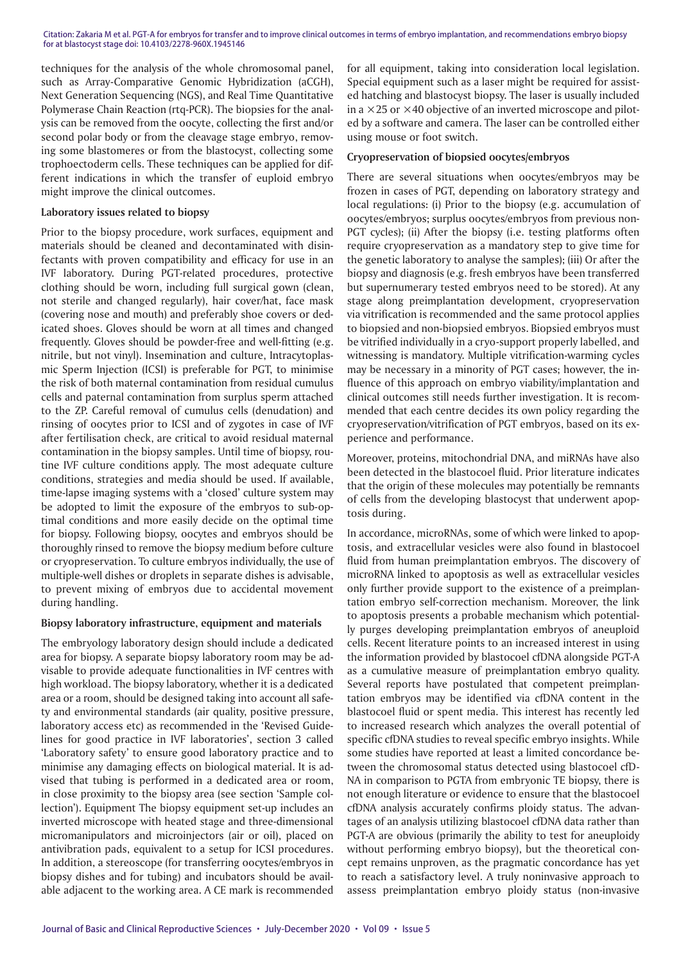techniques for the analysis of the whole chromosomal panel, such as Array-Comparative Genomic Hybridization (aCGH), Next Generation Sequencing (NGS), and Real Time Quantitative Polymerase Chain Reaction (rtq-PCR). The biopsies for the analysis can be removed from the oocyte, collecting the first and/or second polar body or from the cleavage stage embryo, removing some blastomeres or from the blastocyst, collecting some trophoectoderm cells. These techniques can be applied for different indications in which the transfer of euploid embryo might improve the clinical outcomes.

#### **Laboratory issues related to biopsy**

Prior to the biopsy procedure, work surfaces, equipment and materials should be cleaned and decontaminated with disinfectants with proven compatibility and efficacy for use in an IVF laboratory. During PGT-related procedures, protective clothing should be worn, including full surgical gown (clean, not sterile and changed regularly), hair cover/hat, face mask (covering nose and mouth) and preferably shoe covers or dedicated shoes. Gloves should be worn at all times and changed frequently. Gloves should be powder-free and well-fitting (e.g. nitrile, but not vinyl). Insemination and culture, Intracytoplasmic Sperm Injection (ICSI) is preferable for PGT, to minimise the risk of both maternal contamination from residual cumulus cells and paternal contamination from surplus sperm attached to the ZP. Careful removal of cumulus cells (denudation) and rinsing of oocytes prior to ICSI and of zygotes in case of IVF after fertilisation check, are critical to avoid residual maternal contamination in the biopsy samples. Until time of biopsy, routine IVF culture conditions apply. The most adequate culture conditions, strategies and media should be used. If available, time-lapse imaging systems with a 'closed' culture system may be adopted to limit the exposure of the embryos to sub-optimal conditions and more easily decide on the optimal time for biopsy. Following biopsy, oocytes and embryos should be thoroughly rinsed to remove the biopsy medium before culture or cryopreservation. To culture embryos individually, the use of multiple-well dishes or droplets in separate dishes is advisable, to prevent mixing of embryos due to accidental movement during handling.

#### **Biopsy laboratory infrastructure, equipment and materials**

The embryology laboratory design should include a dedicated area for biopsy. A separate biopsy laboratory room may be advisable to provide adequate functionalities in IVF centres with high workload. The biopsy laboratory, whether it is a dedicated area or a room, should be designed taking into account all safety and environmental standards (air quality, positive pressure, laboratory access etc) as recommended in the 'Revised Guidelines for good practice in IVF laboratories', section 3 called 'Laboratory safety' to ensure good laboratory practice and to minimise any damaging effects on biological material. It is advised that tubing is performed in a dedicated area or room, in close proximity to the biopsy area (see section 'Sample collection'). Equipment The biopsy equipment set-up includes an inverted microscope with heated stage and three-dimensional micromanipulators and microinjectors (air or oil), placed on antivibration pads, equivalent to a setup for ICSI procedures. In addition, a stereoscope (for transferring oocytes/embryos in biopsy dishes and for tubing) and incubators should be available adjacent to the working area. A CE mark is recommended

for all equipment, taking into consideration local legislation. Special equipment such as a laser might be required for assisted hatching and blastocyst biopsy. The laser is usually included in a  $\times$ 25 or  $\times$ 40 objective of an inverted microscope and piloted by a software and camera. The laser can be controlled either using mouse or foot switch.

#### **Cryopreservation of biopsied oocytes/embryos**

There are several situations when oocytes/embryos may be frozen in cases of PGT, depending on laboratory strategy and local regulations: (i) Prior to the biopsy (e.g. accumulation of oocytes/embryos; surplus oocytes/embryos from previous non-PGT cycles); (ii) After the biopsy (i.e. testing platforms often require cryopreservation as a mandatory step to give time for the genetic laboratory to analyse the samples); (iii) Or after the biopsy and diagnosis (e.g. fresh embryos have been transferred but supernumerary tested embryos need to be stored). At any stage along preimplantation development, cryopreservation via vitrification is recommended and the same protocol applies to biopsied and non-biopsied embryos. Biopsied embryos must be vitrified individually in a cryo-support properly labelled, and witnessing is mandatory. Multiple vitrification-warming cycles may be necessary in a minority of PGT cases; however, the influence of this approach on embryo viability/implantation and clinical outcomes still needs further investigation. It is recommended that each centre decides its own policy regarding the cryopreservation/vitrification of PGT embryos, based on its experience and performance.

Moreover, proteins, mitochondrial DNA, and miRNAs have also been detected in the blastocoel fluid. Prior literature indicates that the origin of these molecules may potentially be remnants of cells from the developing blastocyst that underwent apoptosis during.

In accordance, microRNAs, some of which were linked to apoptosis, and extracellular vesicles were also found in blastocoel fluid from human preimplantation embryos. The discovery of microRNA linked to apoptosis as well as extracellular vesicles only further provide support to the existence of a preimplantation embryo self-correction mechanism. Moreover, the link to apoptosis presents a probable mechanism which potentially purges developing preimplantation embryos of aneuploid cells. Recent literature points to an increased interest in using the information provided by blastocoel cfDNA alongside PGT-A as a cumulative measure of preimplantation embryo quality. Several reports have postulated that competent preimplantation embryos may be identified via cfDNA content in the blastocoel fluid or spent media. This interest has recently led to increased research which analyzes the overall potential of specific cfDNA studies to reveal specific embryo insights. While some studies have reported at least a limited concordance between the chromosomal status detected using blastocoel cfD-NA in comparison to PGTA from embryonic TE biopsy, there is not enough literature or evidence to ensure that the blastocoel cfDNA analysis accurately confirms ploidy status. The advantages of an analysis utilizing blastocoel cfDNA data rather than PGT-A are obvious (primarily the ability to test for aneuploidy without performing embryo biopsy), but the theoretical concept remains unproven, as the pragmatic concordance has yet to reach a satisfactory level. A truly noninvasive approach to assess preimplantation embryo ploidy status (non-invasive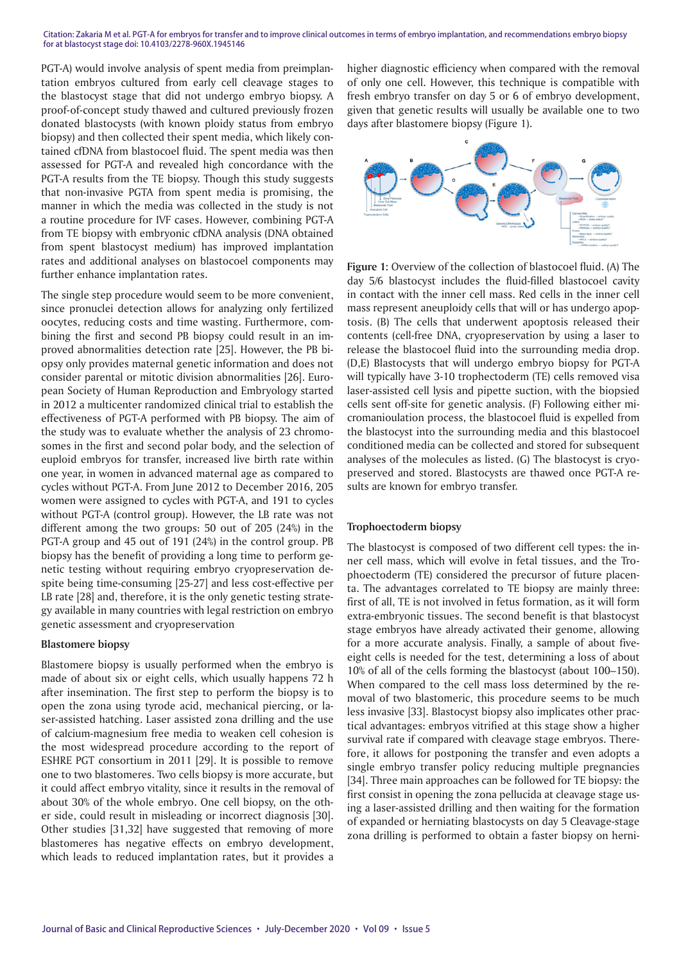PGT-A) would involve analysis of spent media from preimplantation embryos cultured from early cell cleavage stages to the blastocyst stage that did not undergo embryo biopsy. A proof-of-concept study thawed and cultured previously frozen donated blastocysts (with known ploidy status from embryo biopsy) and then collected their spent media, which likely contained cfDNA from blastocoel fluid. The spent media was then assessed for PGT-A and revealed high concordance with the PGT-A results from the TE biopsy. Though this study suggests that non-invasive PGTA from spent media is promising, the manner in which the media was collected in the study is not a routine procedure for IVF cases. However, combining PGT-A from TE biopsy with embryonic cfDNA analysis (DNA obtained from spent blastocyst medium) has improved implantation rates and additional analyses on blastocoel components may further enhance implantation rates.

The single step procedure would seem to be more convenient, since pronuclei detection allows for analyzing only fertilized oocytes, reducing costs and time wasting. Furthermore, combining the first and second PB biopsy could result in an improved abnormalities detection rate [25]. However, the PB biopsy only provides maternal genetic information and does not consider parental or mitotic division abnormalities [26]. European Society of Human Reproduction and Embryology started in 2012 a multicenter randomized clinical trial to establish the effectiveness of PGT-A performed with PB biopsy. The aim of the study was to evaluate whether the analysis of 23 chromosomes in the first and second polar body, and the selection of euploid embryos for transfer, increased live birth rate within one year, in women in advanced maternal age as compared to cycles without PGT-A. From June 2012 to December 2016, 205 women were assigned to cycles with PGT-A, and 191 to cycles without PGT-A (control group). However, the LB rate was not different among the two groups: 50 out of 205 (24%) in the PGT-A group and 45 out of 191 (24%) in the control group. PB biopsy has the benefit of providing a long time to perform genetic testing without requiring embryo cryopreservation despite being time-consuming [25-27] and less cost-effective per LB rate [28] and, therefore, it is the only genetic testing strategy available in many countries with legal restriction on embryo genetic assessment and cryopreservation

#### **Blastomere biopsy**

Blastomere biopsy is usually performed when the embryo is made of about six or eight cells, which usually happens 72 h after insemination. The first step to perform the biopsy is to open the zona using tyrode acid, mechanical piercing, or laser-assisted hatching. Laser assisted zona drilling and the use of calcium-magnesium free media to weaken cell cohesion is the most widespread procedure according to the report of ESHRE PGT consortium in 2011 [29]. It is possible to remove one to two blastomeres. Two cells biopsy is more accurate, but it could affect embryo vitality, since it results in the removal of about 30% of the whole embryo. One cell biopsy, on the other side, could result in misleading or incorrect diagnosis [30]. Other studies [31,32] have suggested that removing of more blastomeres has negative effects on embryo development, which leads to reduced implantation rates, but it provides a

higher diagnostic efficiency when compared with the removal of only one cell. However, this technique is compatible with fresh embryo transfer on day 5 or 6 of embryo development, given that genetic results will usually be available one to two days after blastomere biopsy (Figure 1).



**Figure 1:** Overview of the collection of blastocoel fluid. (A) The day 5/6 blastocyst includes the fluid-filled blastocoel cavity in contact with the inner cell mass. Red cells in the inner cell mass represent aneuploidy cells that will or has undergo apoptosis. (B) The cells that underwent apoptosis released their contents (cell-free DNA, cryopreservation by using a laser to release the blastocoel fluid into the surrounding media drop. (D,E) Blastocysts that will undergo embryo biopsy for PGT-A will typically have 3-10 trophectoderm (TE) cells removed visa laser-assisted cell lysis and pipette suction, with the biopsied cells sent off-site for genetic analysis. (F) Following either micromanioulation process, the blastocoel fluid is expelled from the blastocyst into the surrounding media and this blastocoel conditioned media can be collected and stored for subsequent analyses of the molecules as listed. (G) The blastocyst is cryopreserved and stored. Blastocysts are thawed once PGT-A results are known for embryo transfer.

#### **Trophoectoderm biopsy**

The blastocyst is composed of two different cell types: the inner cell mass, which will evolve in fetal tissues, and the Trophoectoderm (TE) considered the precursor of future placenta. The advantages correlated to TE biopsy are mainly three: first of all, TE is not involved in fetus formation, as it will form extra-embryonic tissues. The second benefit is that blastocyst stage embryos have already activated their genome, allowing for a more accurate analysis. Finally, a sample of about fiveeight cells is needed for the test, determining a loss of about 10% of all of the cells forming the blastocyst (about 100–150). When compared to the cell mass loss determined by the removal of two blastomeric, this procedure seems to be much less invasive [33]. Blastocyst biopsy also implicates other practical advantages: embryos vitrified at this stage show a higher survival rate if compared with cleavage stage embryos. Therefore, it allows for postponing the transfer and even adopts a single embryo transfer policy reducing multiple pregnancies [34]. Three main approaches can be followed for TE biopsy: the first consist in opening the zona pellucida at cleavage stage using a laser-assisted drilling and then waiting for the formation of expanded or herniating blastocysts on day 5 Cleavage-stage zona drilling is performed to obtain a faster biopsy on herni-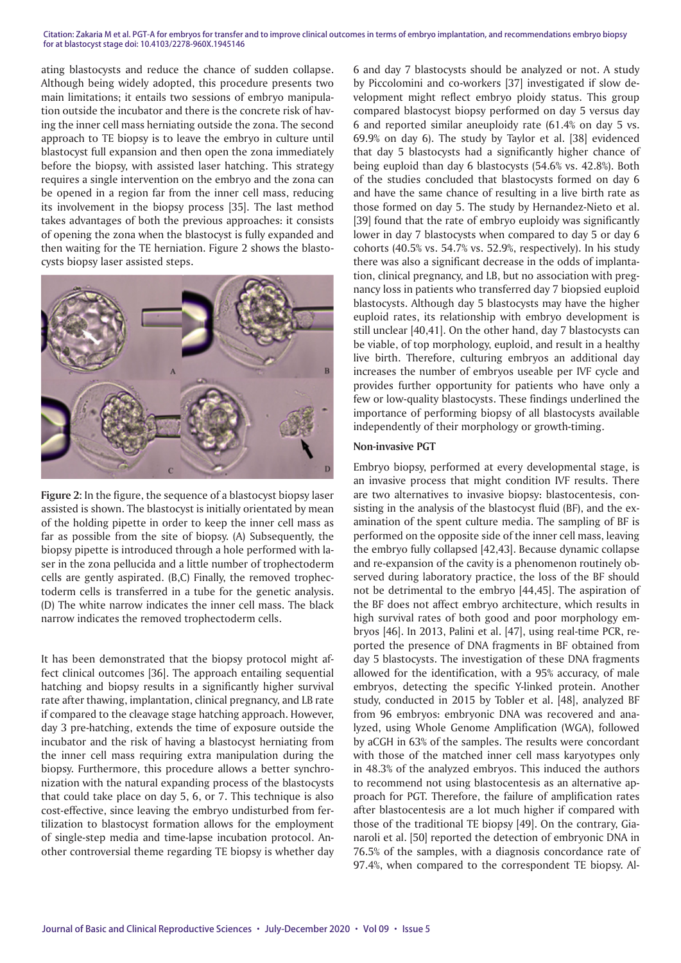ating blastocysts and reduce the chance of sudden collapse. Although being widely adopted, this procedure presents two main limitations; it entails two sessions of embryo manipulation outside the incubator and there is the concrete risk of having the inner cell mass herniating outside the zona. The second approach to TE biopsy is to leave the embryo in culture until blastocyst full expansion and then open the zona immediately before the biopsy, with assisted laser hatching. This strategy requires a single intervention on the embryo and the zona can be opened in a region far from the inner cell mass, reducing its involvement in the biopsy process [35]. The last method takes advantages of both the previous approaches: it consists of opening the zona when the blastocyst is fully expanded and then waiting for the TE herniation. Figure 2 shows the blastocysts biopsy laser assisted steps.



**Figure 2:** In the figure, the sequence of a blastocyst biopsy laser assisted is shown. The blastocyst is initially orientated by mean of the holding pipette in order to keep the inner cell mass as far as possible from the site of biopsy. (A) Subsequently, the biopsy pipette is introduced through a hole performed with laser in the zona pellucida and a little number of trophectoderm cells are gently aspirated. (B,C) Finally, the removed trophectoderm cells is transferred in a tube for the genetic analysis. (D) The white narrow indicates the inner cell mass. The black narrow indicates the removed trophectoderm cells.

It has been demonstrated that the biopsy protocol might affect clinical outcomes [36]. The approach entailing sequential hatching and biopsy results in a significantly higher survival rate after thawing, implantation, clinical pregnancy, and LB rate if compared to the cleavage stage hatching approach. However, day 3 pre-hatching, extends the time of exposure outside the incubator and the risk of having a blastocyst herniating from the inner cell mass requiring extra manipulation during the biopsy. Furthermore, this procedure allows a better synchronization with the natural expanding process of the blastocysts that could take place on day 5, 6, or 7. This technique is also cost-effective, since leaving the embryo undisturbed from fertilization to blastocyst formation allows for the employment of single-step media and time-lapse incubation protocol. Another controversial theme regarding TE biopsy is whether day

6 and day 7 blastocysts should be analyzed or not. A study by Piccolomini and co-workers [37] investigated if slow development might reflect embryo ploidy status. This group compared blastocyst biopsy performed on day 5 versus day 6 and reported similar aneuploidy rate (61.4% on day 5 vs. 69.9% on day 6). The study by Taylor et al. [38] evidenced that day 5 blastocysts had a significantly higher chance of being euploid than day 6 blastocysts (54.6% vs. 42.8%). Both of the studies concluded that blastocysts formed on day 6 and have the same chance of resulting in a live birth rate as those formed on day 5. The study by Hernandez-Nieto et al. [39] found that the rate of embryo euploidy was significantly lower in day 7 blastocysts when compared to day 5 or day 6 cohorts (40.5% vs. 54.7% vs. 52.9%, respectively). In his study there was also a significant decrease in the odds of implantation, clinical pregnancy, and LB, but no association with pregnancy loss in patients who transferred day 7 biopsied euploid blastocysts. Although day 5 blastocysts may have the higher euploid rates, its relationship with embryo development is still unclear [40,41]. On the other hand, day 7 blastocysts can be viable, of top morphology, euploid, and result in a healthy live birth. Therefore, culturing embryos an additional day increases the number of embryos useable per IVF cycle and provides further opportunity for patients who have only a few or low-quality blastocysts. These findings underlined the importance of performing biopsy of all blastocysts available independently of their morphology or growth-timing.

#### **Non-invasive PGT**

Embryo biopsy, performed at every developmental stage, is an invasive process that might condition IVF results. There are two alternatives to invasive biopsy: blastocentesis, consisting in the analysis of the blastocyst fluid (BF), and the examination of the spent culture media. The sampling of BF is performed on the opposite side of the inner cell mass, leaving the embryo fully collapsed [42,43]. Because dynamic collapse and re-expansion of the cavity is a phenomenon routinely observed during laboratory practice, the loss of the BF should not be detrimental to the embryo [44,45]. The aspiration of the BF does not affect embryo architecture, which results in high survival rates of both good and poor morphology embryos [46]. In 2013, Palini et al. [47], using real-time PCR, reported the presence of DNA fragments in BF obtained from day 5 blastocysts. The investigation of these DNA fragments allowed for the identification, with a 95% accuracy, of male embryos, detecting the specific Y-linked protein. Another study, conducted in 2015 by Tobler et al. [48], analyzed BF from 96 embryos: embryonic DNA was recovered and analyzed, using Whole Genome Amplification (WGA), followed by aCGH in 63% of the samples. The results were concordant with those of the matched inner cell mass karyotypes only in 48.3% of the analyzed embryos. This induced the authors to recommend not using blastocentesis as an alternative approach for PGT. Therefore, the failure of amplification rates after blastocentesis are a lot much higher if compared with those of the traditional TE biopsy [49]. On the contrary, Gianaroli et al. [50] reported the detection of embryonic DNA in 76.5% of the samples, with a diagnosis concordance rate of 97.4%, when compared to the correspondent TE biopsy. Al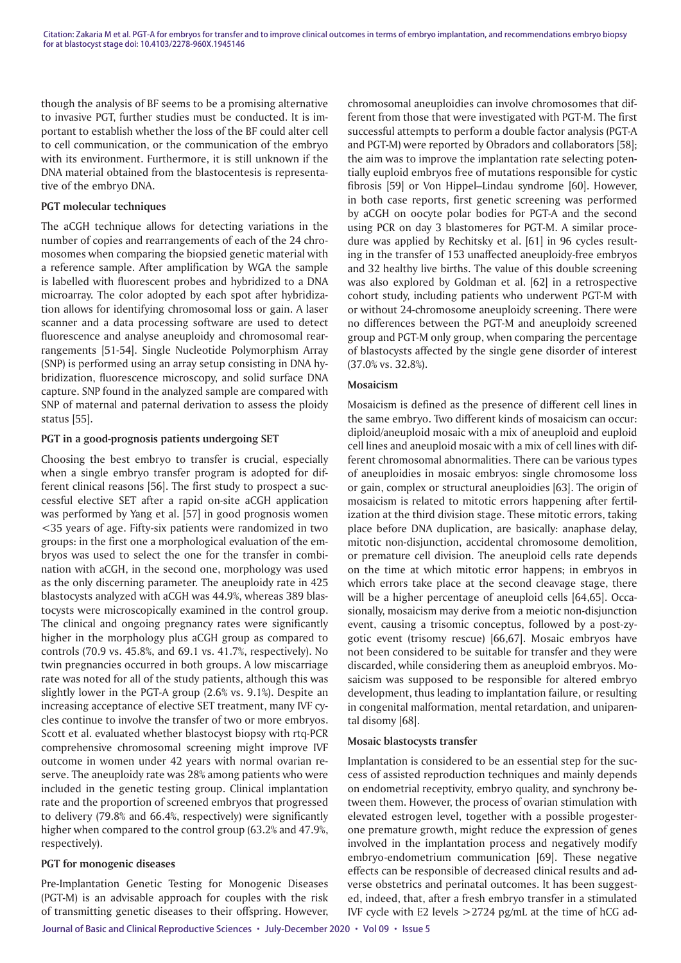though the analysis of BF seems to be a promising alternative to invasive PGT, further studies must be conducted. It is important to establish whether the loss of the BF could alter cell to cell communication, or the communication of the embryo with its environment. Furthermore, it is still unknown if the DNA material obtained from the blastocentesis is representative of the embryo DNA.

#### **PGT molecular techniques**

The aCGH technique allows for detecting variations in the number of copies and rearrangements of each of the 24 chromosomes when comparing the biopsied genetic material with a reference sample. After amplification by WGA the sample is labelled with fluorescent probes and hybridized to a DNA microarray. The color adopted by each spot after hybridization allows for identifying chromosomal loss or gain. A laser scanner and a data processing software are used to detect fluorescence and analyse aneuploidy and chromosomal rearrangements [51-54]. Single Nucleotide Polymorphism Array (SNP) is performed using an array setup consisting in DNA hybridization, fluorescence microscopy, and solid surface DNA capture. SNP found in the analyzed sample are compared with SNP of maternal and paternal derivation to assess the ploidy status [55].

#### **PGT in a good-prognosis patients undergoing SET**

Choosing the best embryo to transfer is crucial, especially when a single embryo transfer program is adopted for different clinical reasons [56]. The first study to prospect a successful elective SET after a rapid on-site aCGH application was performed by Yang et al. [57] in good prognosis women <35 years of age. Fifty-six patients were randomized in two groups: in the first one a morphological evaluation of the embryos was used to select the one for the transfer in combination with aCGH, in the second one, morphology was used as the only discerning parameter. The aneuploidy rate in 425 blastocysts analyzed with aCGH was 44.9%, whereas 389 blastocysts were microscopically examined in the control group. The clinical and ongoing pregnancy rates were significantly higher in the morphology plus aCGH group as compared to controls (70.9 vs. 45.8%, and 69.1 vs. 41.7%, respectively). No twin pregnancies occurred in both groups. A low miscarriage rate was noted for all of the study patients, although this was slightly lower in the PGT-A group (2.6% vs. 9.1%). Despite an increasing acceptance of elective SET treatment, many IVF cycles continue to involve the transfer of two or more embryos. Scott et al. evaluated whether blastocyst biopsy with rtq-PCR comprehensive chromosomal screening might improve IVF outcome in women under 42 years with normal ovarian reserve. The aneuploidy rate was 28% among patients who were included in the genetic testing group. Clinical implantation rate and the proportion of screened embryos that progressed to delivery (79.8% and 66.4%, respectively) were significantly higher when compared to the control group (63.2% and 47.9%, respectively).

#### **PGT for monogenic diseases**

Pre-Implantation Genetic Testing for Monogenic Diseases (PGT-M) is an advisable approach for couples with the risk of transmitting genetic diseases to their offspring. However, chromosomal aneuploidies can involve chromosomes that different from those that were investigated with PGT-M. The first successful attempts to perform a double factor analysis (PGT-A and PGT-M) were reported by Obradors and collaborators [58]; the aim was to improve the implantation rate selecting potentially euploid embryos free of mutations responsible for cystic fibrosis [59] or Von Hippel–Lindau syndrome [60]. However, in both case reports, first genetic screening was performed by aCGH on oocyte polar bodies for PGT-A and the second using PCR on day 3 blastomeres for PGT-M. A similar procedure was applied by Rechitsky et al. [61] in 96 cycles resulting in the transfer of 153 unaffected aneuploidy-free embryos and 32 healthy live births. The value of this double screening was also explored by Goldman et al. [62] in a retrospective cohort study, including patients who underwent PGT-M with or without 24-chromosome aneuploidy screening. There were no differences between the PGT-M and aneuploidy screened group and PGT-M only group, when comparing the percentage of blastocysts affected by the single gene disorder of interest (37.0% vs. 32.8%).

#### **Mosaicism**

Mosaicism is defined as the presence of different cell lines in the same embryo. Two different kinds of mosaicism can occur: diploid/aneuploid mosaic with a mix of aneuploid and euploid cell lines and aneuploid mosaic with a mix of cell lines with different chromosomal abnormalities. There can be various types of aneuploidies in mosaic embryos: single chromosome loss or gain, complex or structural aneuploidies [63]. The origin of mosaicism is related to mitotic errors happening after fertilization at the third division stage. These mitotic errors, taking place before DNA duplication, are basically: anaphase delay, mitotic non-disjunction, accidental chromosome demolition, or premature cell division. The aneuploid cells rate depends on the time at which mitotic error happens; in embryos in which errors take place at the second cleavage stage, there will be a higher percentage of aneuploid cells [64,65]. Occasionally, mosaicism may derive from a meiotic non-disjunction event, causing a trisomic conceptus, followed by a post-zygotic event (trisomy rescue) [66,67]. Mosaic embryos have not been considered to be suitable for transfer and they were discarded, while considering them as aneuploid embryos. Mosaicism was supposed to be responsible for altered embryo development, thus leading to implantation failure, or resulting in congenital malformation, mental retardation, and uniparental disomy [68].

#### **Mosaic blastocysts transfer**

Implantation is considered to be an essential step for the success of assisted reproduction techniques and mainly depends on endometrial receptivity, embryo quality, and synchrony between them. However, the process of ovarian stimulation with elevated estrogen level, together with a possible progesterone premature growth, might reduce the expression of genes involved in the implantation process and negatively modify embryo-endometrium communication [69]. These negative effects can be responsible of decreased clinical results and adverse obstetrics and perinatal outcomes. It has been suggested, indeed, that, after a fresh embryo transfer in a stimulated IVF cycle with E2 levels  $>$ 2724 pg/mL at the time of hCG ad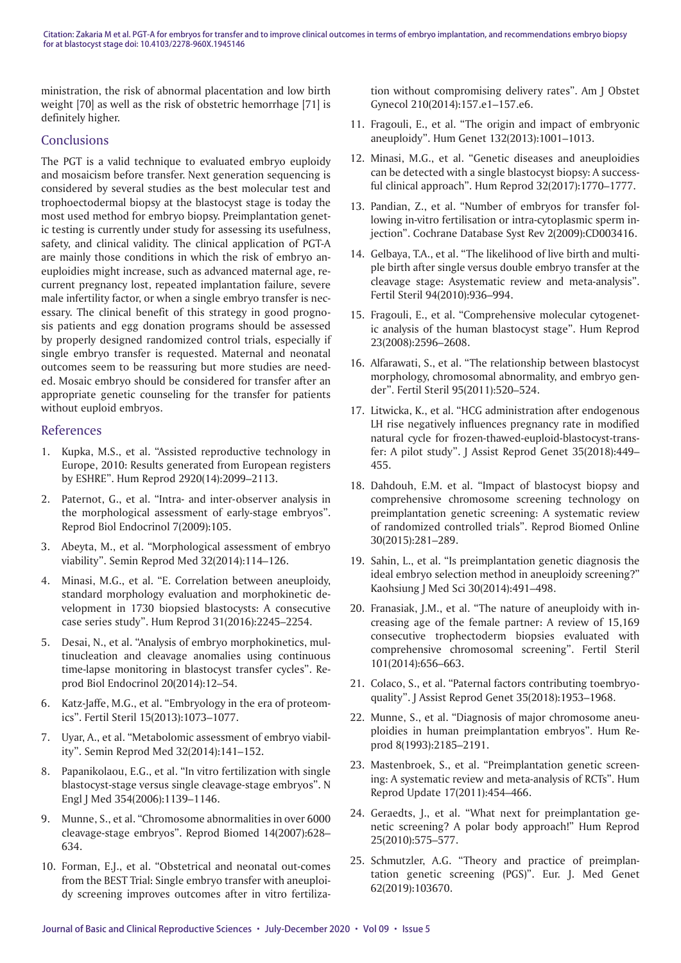ministration, the risk of abnormal placentation and low birth weight [70] as well as the risk of obstetric hemorrhage [71] is definitely higher.

## **Conclusions**

The PGT is a valid technique to evaluated embryo euploidy and mosaicism before transfer. Next generation sequencing is considered by several studies as the best molecular test and trophoectodermal biopsy at the blastocyst stage is today the most used method for embryo biopsy. Preimplantation genetic testing is currently under study for assessing its usefulness, safety, and clinical validity. The clinical application of PGT-A are mainly those conditions in which the risk of embryo aneuploidies might increase, such as advanced maternal age, recurrent pregnancy lost, repeated implantation failure, severe male infertility factor, or when a single embryo transfer is necessary. The clinical benefit of this strategy in good prognosis patients and egg donation programs should be assessed by properly designed randomized control trials, especially if single embryo transfer is requested. Maternal and neonatal outcomes seem to be reassuring but more studies are needed. Mosaic embryo should be considered for transfer after an appropriate genetic counseling for the transfer for patients without euploid embryos.

## References

- 1. Kupka, M.S., et al. "Assisted reproductive technology in Europe, 2010: Results generated from European registers by ESHRE". Hum Reprod 2920(14):2099–2113.
- 2. Paternot, G., et al. "Intra- and inter-observer analysis in the morphological assessment of early-stage embryos". Reprod Biol Endocrinol 7(2009):105.
- 3. Abeyta, M., et al. "Morphological assessment of embryo viability". Semin Reprod Med 32(2014):114–126.
- 4. Minasi, M.G., et al. "E. Correlation between aneuploidy, standard morphology evaluation and morphokinetic development in 1730 biopsied blastocysts: A consecutive case series study". Hum Reprod 31(2016):2245–2254.
- 5. Desai, N., et al. "Analysis of embryo morphokinetics, multinucleation and cleavage anomalies using continuous time-lapse monitoring in blastocyst transfer cycles". Reprod Biol Endocrinol 20(2014):12–54.
- 6. Katz-Jaffe, M.G., et al. "Embryology in the era of proteomics". Fertil Steril 15(2013):1073–1077.
- 7. Uyar, A., et al. "Metabolomic assessment of embryo viability". Semin Reprod Med 32(2014):141–152.
- 8. Papanikolaou, E.G., et al. "In vitro fertilization with single blastocyst-stage versus single cleavage-stage embryos". N Engl J Med 354(2006):1139–1146.
- 9. Munne, S., et al. "Chromosome abnormalities in over 6000 cleavage-stage embryos". Reprod Biomed 14(2007):628– 634.
- 10. Forman, E.J., et al. "Obstetrical and neonatal out-comes from the BEST Trial: Single embryo transfer with aneuploidy screening improves outcomes after in vitro fertiliza-

tion without compromising delivery rates". Am J Obstet Gynecol 210(2014):157.e1–157.e6.

- 11. Fragouli, E., et al. "The origin and impact of embryonic aneuploidy". Hum Genet 132(2013):1001–1013.
- 12. Minasi, M.G., et al. "Genetic diseases and aneuploidies can be detected with a single blastocyst biopsy: A successful clinical approach". Hum Reprod 32(2017):1770–1777.
- 13. Pandian, Z., et al. "Number of embryos for transfer following in-vitro fertilisation or intra-cytoplasmic sperm injection". Cochrane Database Syst Rev 2(2009):CD003416.
- 14. Gelbaya, T.A., et al. "The likelihood of live birth and multiple birth after single versus double embryo transfer at the cleavage stage: Asystematic review and meta-analysis". Fertil Steril 94(2010):936–994.
- 15. Fragouli, E., et al. "Comprehensive molecular cytogenetic analysis of the human blastocyst stage". Hum Reprod 23(2008):2596–2608.
- 16. Alfarawati, S., et al. "The relationship between blastocyst morphology, chromosomal abnormality, and embryo gender". Fertil Steril 95(2011):520–524.
- 17. Litwicka, K., et al. "HCG administration after endogenous LH rise negatively influences pregnancy rate in modified natural cycle for frozen-thawed-euploid-blastocyst-transfer: A pilot study". J Assist Reprod Genet 35(2018):449– 455.
- 18. Dahdouh, E.M. et al. "Impact of blastocyst biopsy and comprehensive chromosome screening technology on preimplantation genetic screening: A systematic review of randomized controlled trials". Reprod Biomed Online 30(2015):281–289.
- 19. Sahin, L., et al. "Is preimplantation genetic diagnosis the ideal embryo selection method in aneuploidy screening?" Kaohsiung J Med Sci 30(2014):491–498.
- 20. Franasiak, J.M., et al. "The nature of aneuploidy with increasing age of the female partner: A review of 15,169 consecutive trophectoderm biopsies evaluated with comprehensive chromosomal screening". Fertil Steril 101(2014):656–663.
- 21. Colaco, S., et al. "Paternal factors contributing toembryoquality". J Assist Reprod Genet 35(2018):1953–1968.
- 22. Munne, S., et al. "Diagnosis of major chromosome aneuploidies in human preimplantation embryos". Hum Reprod 8(1993):2185–2191.
- 23. Mastenbroek, S., et al. "Preimplantation genetic screening: A systematic review and meta-analysis of RCTs". Hum Reprod Update 17(2011):454–466.
- 24. Geraedts, J., et al. "What next for preimplantation genetic screening? A polar body approach!" Hum Reprod 25(2010):575–577.
- 25. Schmutzler, A.G. "Theory and practice of preimplantation genetic screening (PGS)". Eur. J. Med Genet 62(2019):103670.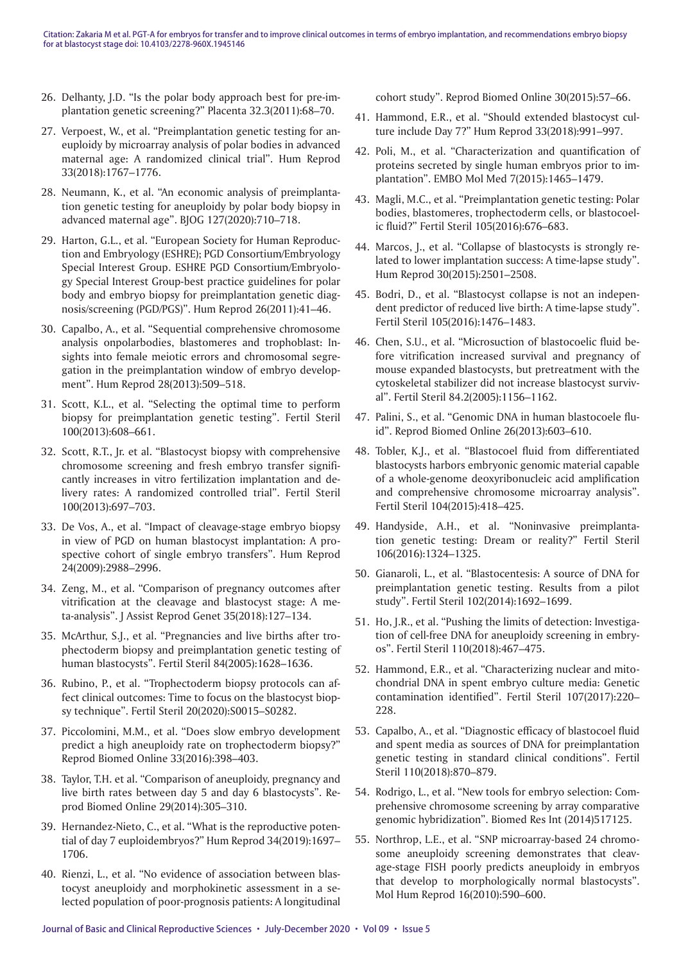- 26. Delhanty, J.D. "Is the polar body approach best for pre-implantation genetic screening?" Placenta 32.3(2011):68–70.
- 27. Verpoest, W., et al. "Preimplantation genetic testing for aneuploidy by microarray analysis of polar bodies in advanced maternal age: A randomized clinical trial". Hum Reprod 33(2018):1767–1776.
- 28. Neumann, K., et al. "An economic analysis of preimplantation genetic testing for aneuploidy by polar body biopsy in advanced maternal age". BJOG 127(2020):710–718.
- 29. Harton, G.L., et al. "European Society for Human Reproduction and Embryology (ESHRE); PGD Consortium/Embryology Special Interest Group. ESHRE PGD Consortium/Embryology Special Interest Group-best practice guidelines for polar body and embryo biopsy for preimplantation genetic diagnosis/screening (PGD/PGS)". Hum Reprod 26(2011):41–46.
- 30. Capalbo, A., et al. "Sequential comprehensive chromosome analysis onpolarbodies, blastomeres and trophoblast: Insights into female meiotic errors and chromosomal segregation in the preimplantation window of embryo development". Hum Reprod 28(2013):509–518.
- 31. Scott, K.L., et al. "Selecting the optimal time to perform biopsy for preimplantation genetic testing". Fertil Steril 100(2013):608–661.
- 32. Scott, R.T., Jr. et al. "Blastocyst biopsy with comprehensive chromosome screening and fresh embryo transfer significantly increases in vitro fertilization implantation and delivery rates: A randomized controlled trial". Fertil Steril 100(2013):697–703.
- 33. De Vos, A., et al. "Impact of cleavage-stage embryo biopsy in view of PGD on human blastocyst implantation: A prospective cohort of single embryo transfers". Hum Reprod 24(2009):2988–2996.
- 34. Zeng, M., et al. "Comparison of pregnancy outcomes after vitrification at the cleavage and blastocyst stage: A meta-analysis". J Assist Reprod Genet 35(2018):127–134.
- 35. McArthur, S.J., et al. "Pregnancies and live births after trophectoderm biopsy and preimplantation genetic testing of human blastocysts". Fertil Steril 84(2005):1628–1636.
- 36. Rubino, P., et al. "Trophectoderm biopsy protocols can affect clinical outcomes: Time to focus on the blastocyst biopsy technique". Fertil Steril 20(2020):S0015–S0282.
- 37. Piccolomini, M.M., et al. "Does slow embryo development predict a high aneuploidy rate on trophectoderm biopsy?" Reprod Biomed Online 33(2016):398–403.
- 38. Taylor, T.H. et al. "Comparison of aneuploidy, pregnancy and live birth rates between day 5 and day 6 blastocysts". Reprod Biomed Online 29(2014):305–310.
- 39. Hernandez-Nieto, C., et al. "What is the reproductive potential of day 7 euploidembryos?" Hum Reprod 34(2019):1697– 1706.
- 40. Rienzi, L., et al. "No evidence of association between blastocyst aneuploidy and morphokinetic assessment in a selected population of poor-prognosis patients: A longitudinal

cohort study". Reprod Biomed Online 30(2015):57–66.

- 41. Hammond, E.R., et al. "Should extended blastocyst culture include Day 7?" Hum Reprod 33(2018):991–997.
- 42. Poli, M., et al. "Characterization and quantification of proteins secreted by single human embryos prior to implantation". EMBO Mol Med 7(2015):1465–1479.
- 43. Magli, M.C., et al. "Preimplantation genetic testing: Polar bodies, blastomeres, trophectoderm cells, or blastocoelic fluid?" Fertil Steril 105(2016):676–683.
- 44. Marcos, J., et al. "Collapse of blastocysts is strongly related to lower implantation success: A time-lapse study". Hum Reprod 30(2015):2501–2508.
- 45. Bodri, D., et al. "Blastocyst collapse is not an independent predictor of reduced live birth: A time-lapse study". Fertil Steril 105(2016):1476–1483.
- 46. Chen, S.U., et al. "Microsuction of blastocoelic fluid before vitrification increased survival and pregnancy of mouse expanded blastocysts, but pretreatment with the cytoskeletal stabilizer did not increase blastocyst survival". Fertil Steril 84.2(2005):1156–1162.
- 47. Palini, S., et al. "Genomic DNA in human blastocoele fluid". Reprod Biomed Online 26(2013):603–610.
- 48. Tobler, K.J., et al. "Blastocoel fluid from differentiated blastocysts harbors embryonic genomic material capable of a whole-genome deoxyribonucleic acid amplification and comprehensive chromosome microarray analysis". Fertil Steril 104(2015):418–425.
- 49. Handyside, A.H., et al. "Noninvasive preimplantation genetic testing: Dream or reality?" Fertil Steril 106(2016):1324–1325.
- 50. Gianaroli, L., et al. "Blastocentesis: A source of DNA for preimplantation genetic testing. Results from a pilot study". Fertil Steril 102(2014):1692–1699.
- 51. Ho, J.R., et al. "Pushing the limits of detection: Investigation of cell-free DNA for aneuploidy screening in embryos". Fertil Steril 110(2018):467–475.
- 52. Hammond, E.R., et al. "Characterizing nuclear and mitochondrial DNA in spent embryo culture media: Genetic contamination identified". Fertil Steril 107(2017):220– 228.
- 53. Capalbo, A., et al. "Diagnostic efficacy of blastocoel fluid and spent media as sources of DNA for preimplantation genetic testing in standard clinical conditions". Fertil Steril 110(2018):870–879.
- 54. Rodrigo, L., et al. "New tools for embryo selection: Comprehensive chromosome screening by array comparative genomic hybridization". Biomed Res Int (2014)517125.
- 55. Northrop, L.E., et al. "SNP microarray-based 24 chromosome aneuploidy screening demonstrates that cleavage-stage FISH poorly predicts aneuploidy in embryos that develop to morphologically normal blastocysts". Mol Hum Reprod 16(2010):590–600.